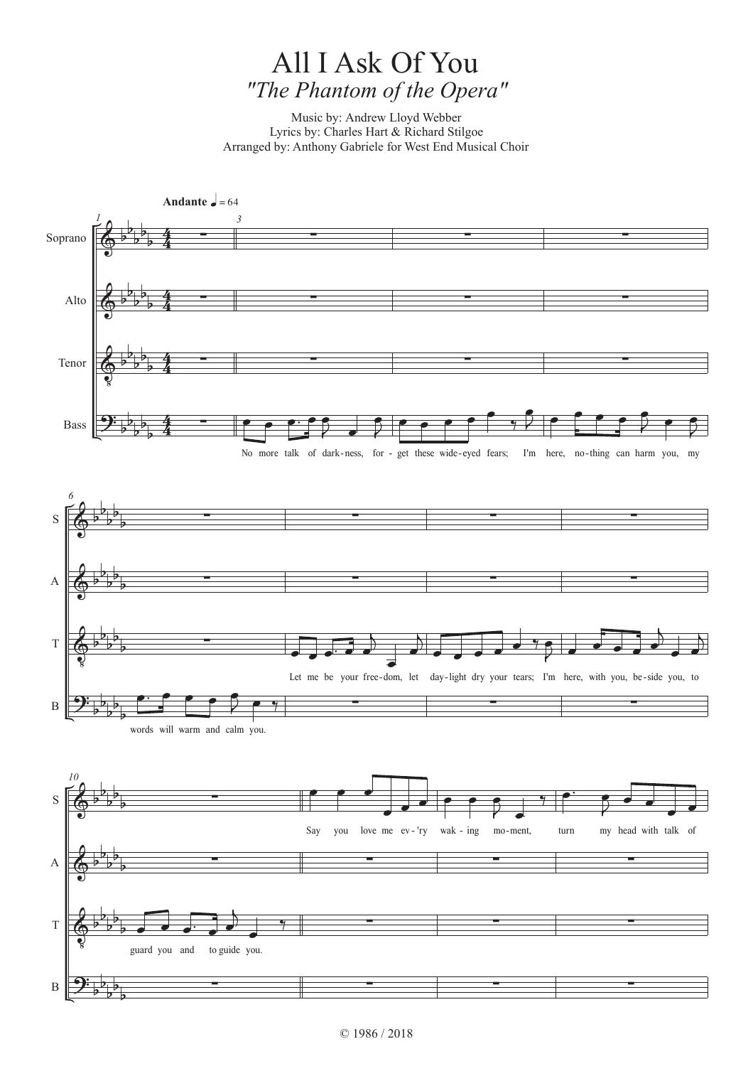## All I Ask Of You *"The Phantom of the Opera"*

Music by: Andrew Lloyd Webber Lyrics by: Charles Hart & Richard Stilgoe Arranged by: Anthony Gabriele for West End Musical Choir

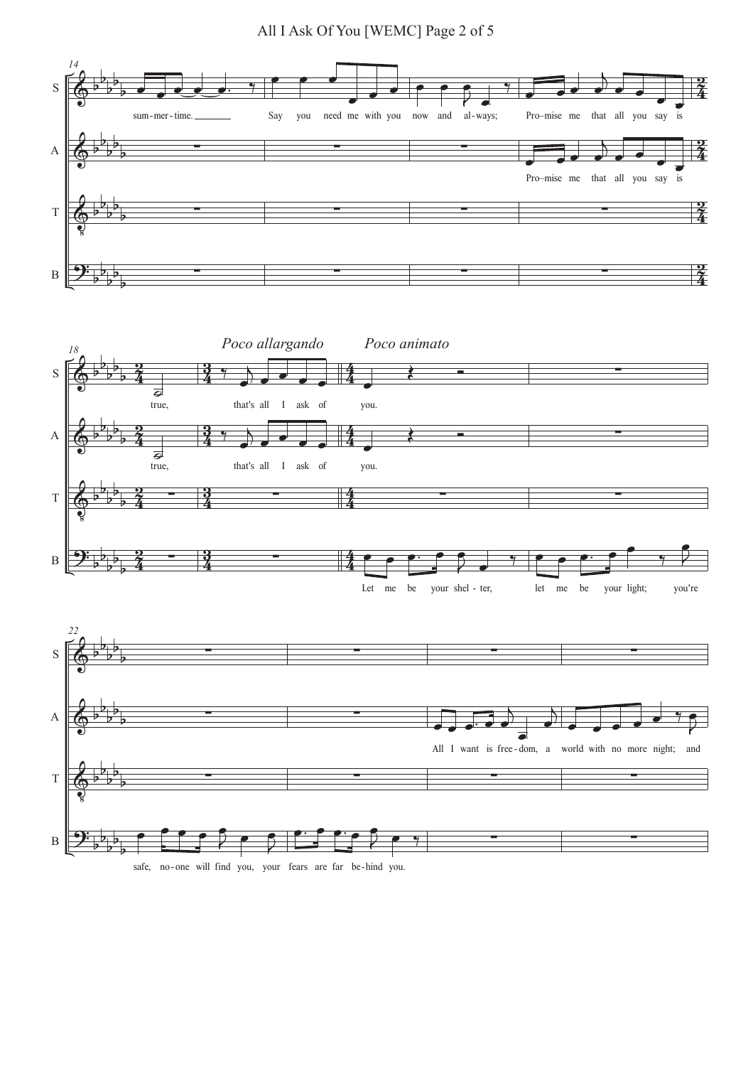## All I Ask Of You [WEMC] Page 2 of 5





safe, no-one will find you, your fears are far be-hind you.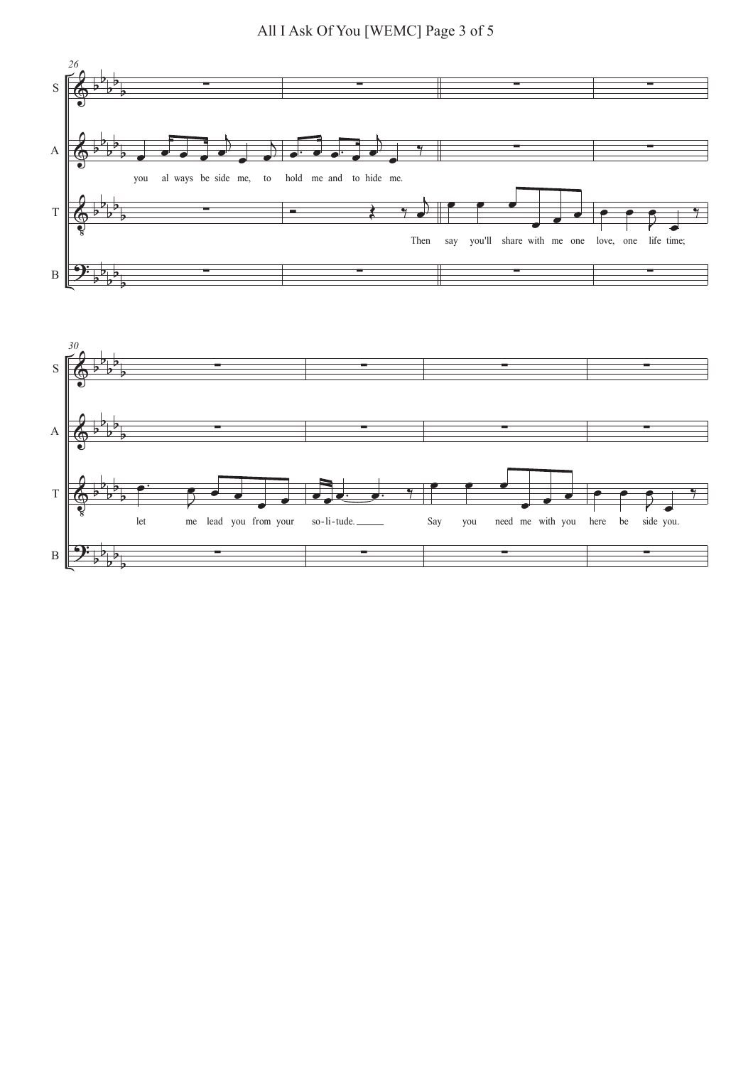

All I Ask Of You [WEMC] Page 3 of 5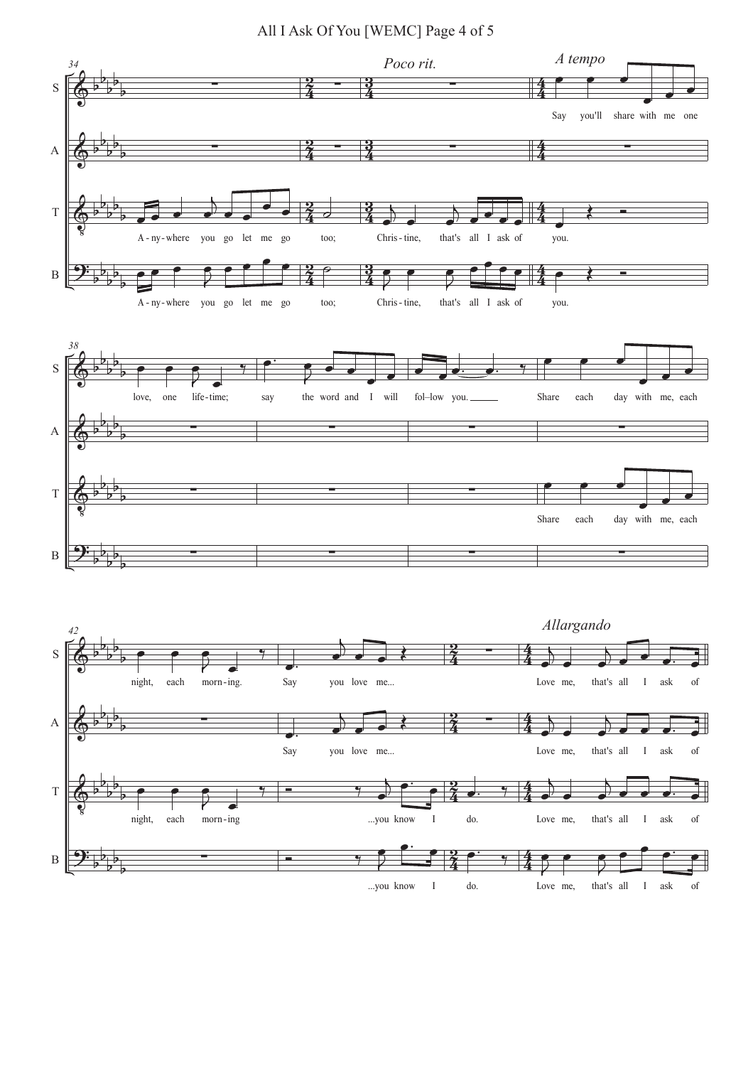## All I Ask Of You [WEMC] Page 4 of 5